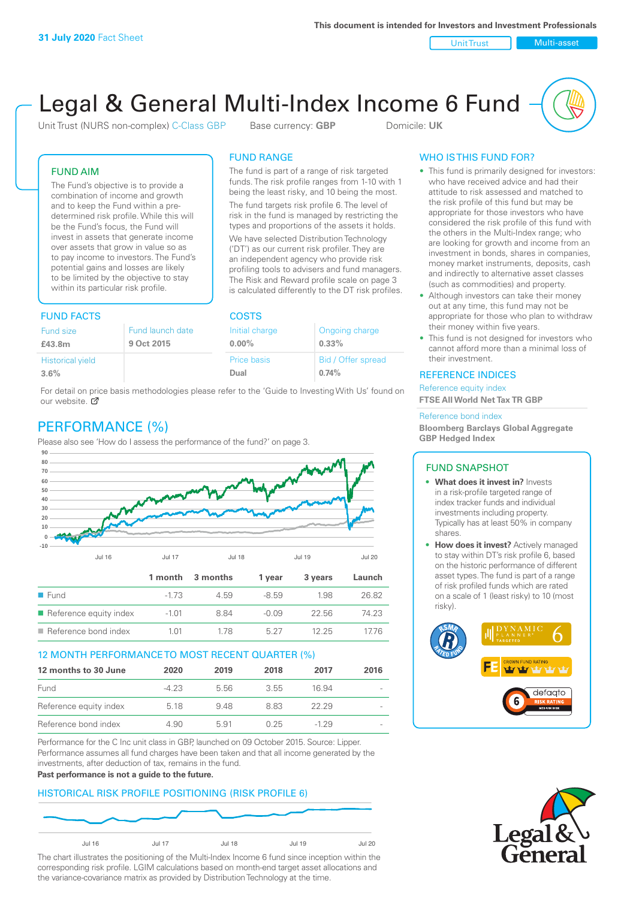Unit Trust Nulti-asset

# Legal & General Multi-Index Income 6 Fund

Unit Trust (NURS non-complex) C-Class GBP Base currency: **GBP** Domicile: UK

The fund is part of a range of risk targeted funds. The risk profile ranges from 1-10 with 1 being the least risky, and 10 being the most. The fund targets risk profile 6. The level of risk in the fund is managed by restricting the types and proportions of the assets it holds. We have selected Distribution Technology ('DT') as our current risk profiler. They are an independent agency who provide risk profiling tools to advisers and fund managers. The Risk and Reward profile scale on page 3 is calculated differently to the DT risk profiles.

FUND RANGE

FUND AIM

The Fund's objective is to provide a combination of income and growth and to keep the Fund within a predetermined risk profile. While this will be the Fund's focus, the Fund will invest in assets that generate income over assets that grow in value so as to pay income to investors. The Fund's potential gains and losses are likely to be limited by the objective to stay within its particular risk profile.

### FUND FACTS COSTS

| <b>Fund size</b>        | Fund launch date | Initial charge | Ongoing charge     |  |
|-------------------------|------------------|----------------|--------------------|--|
| £43.8m                  | 9 Oct 2015       | $0.00\%$       | 0.33%              |  |
| <b>Historical yield</b> |                  | Price basis    | Bid / Offer spread |  |
| 3.6%                    |                  | Dual           | 0.74%              |  |

For detail on [pric](http://www.legalandgeneral.com/guide)e basis methodologies please refer to the 'Guide to Investing With Us' found on our website. Ø

# PERFORMANCE (%)

Please also see 'How do I assess the performance of the fund?' on page 3.



### 12 MONTH PERFORMANCE TO MOST RECENT QUARTER (%)

| 12 months to 30 June   | 2020   | 2019 | 2018 | 2017   | 2016   |
|------------------------|--------|------|------|--------|--------|
| Fund                   | $-423$ | 5.56 | 3.55 | 16.94  | $\sim$ |
| Reference equity index | 5.18   | 9.48 | 883  | 22.29  | $\sim$ |
| Reference bond index   | 4.90   | 591  | 0.25 | $-129$ | $\sim$ |

Performance for the C Inc unit class in GBP, launched on 09 October 2015. Source: Lipper. Performance assumes all fund charges have been taken and that all income generated by the investments, after deduction of tax, remains in the fund.

#### **Past performance is not a guide to the future.**

### HISTORICAL RISK PROFILE POSITIONING (RISK PROFILE 6)



The chart illustrates the positioning of the Multi-Index Income 6 fund since inception within the corresponding risk profile. LGIM calculations based on month-end target asset allocations and the variance-covariance matrix as provided by Distribution Technology at the time.

### WHO IS THIS FUND FOR?

- This fund is primarily designed for investors: who have received advice and had their attitude to risk assessed and matched to the risk profile of this fund but may be appropriate for those investors who have considered the risk profile of this fund with the others in the Multi-Index range; who are looking for growth and income from an investment in bonds, shares in companies, money market instruments, deposits, cash and indirectly to alternative asset classes (such as commodities) and property.
- Although investors can take their money out at any time, this fund may not be appropriate for those who plan to withdraw their money within five years.
- This fund is not designed for investors who cannot afford more than a minimal loss of their investment.

### REFERENCE INDICES

Reference equity index **FTSE All World Net Tax TR GBP**

#### Reference bond index

**Bloomberg Barclays Global Aggregate GBP Hedged Index**

### FUND SNAPSHOT

- **• What does it invest in?** Invests in a risk-profile targeted range of index tracker funds and individual investments including property. Typically has at least 50% in company shares.
- **• How does it invest?** Actively managed to stay within DT's risk profile 6, based on the historic performance of different asset types. The fund is part of a range of risk profiled funds which are rated on a scale of 1 (least risky) to 10 (most risky).



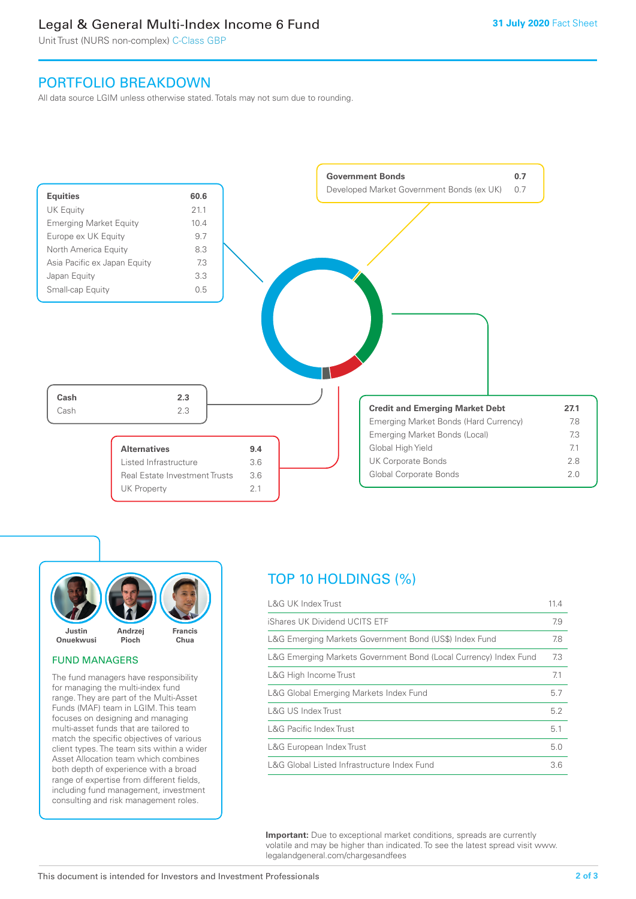# Legal & General Multi-Index Income 6 Fund

Unit Trust (NURS non-complex) C-Class GBP

## PORTFOLIO BREAKDOWN

All data source LGIM unless otherwise stated. Totals may not sum due to rounding.





### FUND MANAGERS

The fund managers have responsibility for managing the multi-index fund range. They are part of the Multi-Asset Funds (MAF) team in LGIM. This team focuses on designing and managing multi-asset funds that are tailored to match the specific objectives of various client types. The team sits within a wider Asset Allocation team which combines both depth of experience with a broad range of expertise from different fields, including fund management, investment consulting and risk management roles.

# TOP 10 HOLDINGS (%)

| <b>L&amp;G UK Index Trust</b>                                    | 11.4 |
|------------------------------------------------------------------|------|
| iShares UK Dividend UCITS ETF                                    | 7.9  |
| L&G Emerging Markets Government Bond (US\$) Index Fund           | 7.8  |
| L&G Emerging Markets Government Bond (Local Currency) Index Fund | 7.3  |
| L&G High Income Trust                                            | 7.1  |
| L&G Global Emerging Markets Index Fund                           | 5.7  |
| L&G US Index Trust                                               | 5.2  |
| <b>L&amp;G Pacific Index Trust</b>                               | 5.1  |
| L&G European Index Trust                                         | 5.0  |
| L&G Global Listed Infrastructure Index Fund                      | 3.6  |

**Important:** Due to exceptional market conditions, spreads are currently volatile and may be higher than indicated. To see the latest spread visit www. legalandgeneral.com/chargesandfees